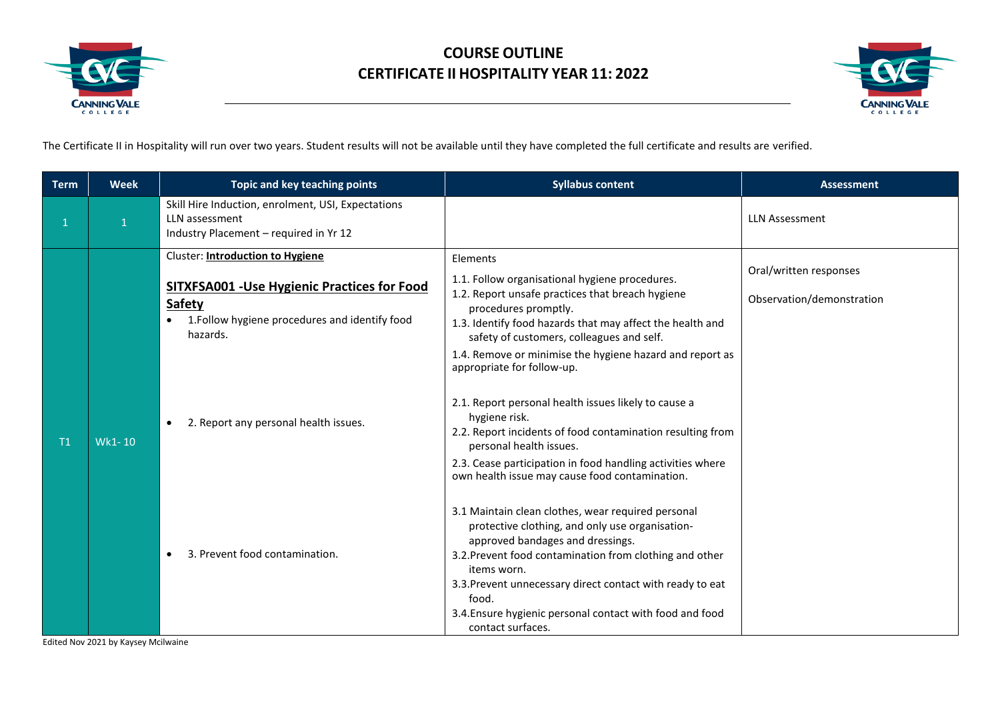



The Certificate II in Hospitality will run over two years. Student results will not be available until they have completed the full certificate and results are verified.

| <b>Term</b> | <b>Week</b> | Topic and key teaching points                                                                                                                                          | <b>Syllabus content</b>                                                                                                                                                                                                                                                                                                                                                    | <b>Assessment</b>                                   |
|-------------|-------------|------------------------------------------------------------------------------------------------------------------------------------------------------------------------|----------------------------------------------------------------------------------------------------------------------------------------------------------------------------------------------------------------------------------------------------------------------------------------------------------------------------------------------------------------------------|-----------------------------------------------------|
| 1           |             | Skill Hire Induction, enrolment, USI, Expectations<br>LLN assessment<br>Industry Placement - required in Yr 12                                                         |                                                                                                                                                                                                                                                                                                                                                                            | <b>LLN Assessment</b>                               |
|             |             | Cluster: Introduction to Hygiene<br><b>SITXFSA001 - Use Hygienic Practices for Food</b><br><b>Safety</b><br>1. Follow hygiene procedures and identify food<br>hazards. | Elements<br>1.1. Follow organisational hygiene procedures.<br>1.2. Report unsafe practices that breach hygiene<br>procedures promptly.<br>1.3. Identify food hazards that may affect the health and<br>safety of customers, colleagues and self.<br>1.4. Remove or minimise the hygiene hazard and report as<br>appropriate for follow-up.                                 | Oral/written responses<br>Observation/demonstration |
| Τ1          | Wk1-10      | 2. Report any personal health issues.<br>$\bullet$                                                                                                                     | 2.1. Report personal health issues likely to cause a<br>hygiene risk.<br>2.2. Report incidents of food contamination resulting from<br>personal health issues.<br>2.3. Cease participation in food handling activities where<br>own health issue may cause food contamination.                                                                                             |                                                     |
|             |             | 3. Prevent food contamination.                                                                                                                                         | 3.1 Maintain clean clothes, wear required personal<br>protective clothing, and only use organisation-<br>approved bandages and dressings.<br>3.2. Prevent food contamination from clothing and other<br>items worn.<br>3.3. Prevent unnecessary direct contact with ready to eat<br>food.<br>3.4. Ensure hygienic personal contact with food and food<br>contact surfaces. |                                                     |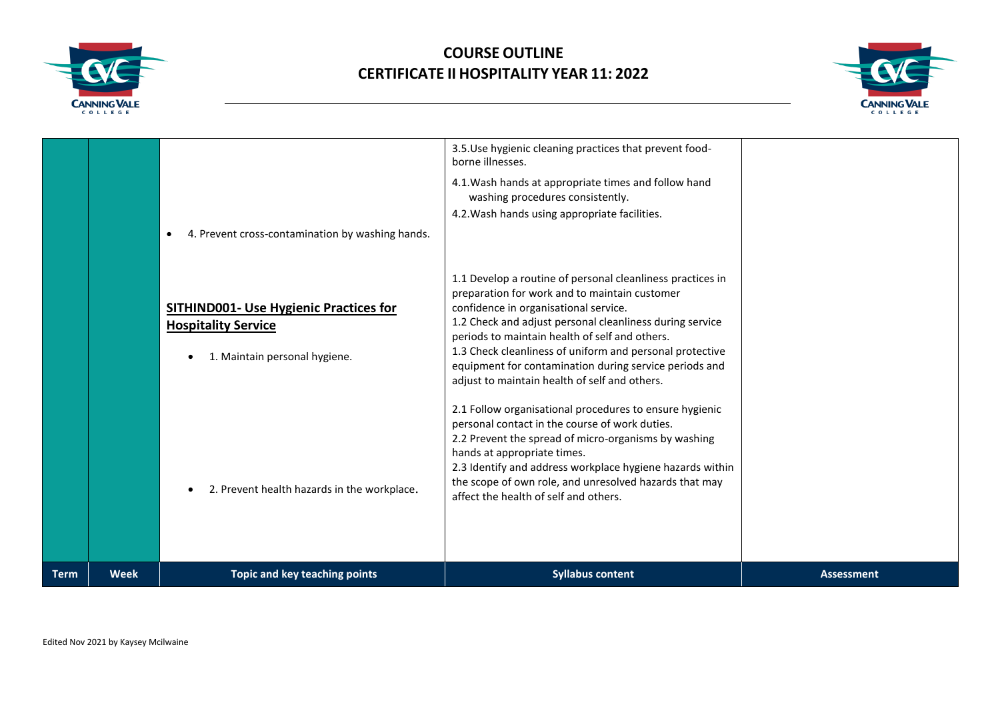



|             |             | 4. Prevent cross-contamination by washing hands.<br>$\bullet$<br><b>SITHIND001- Use Hygienic Practices for</b><br><b>Hospitality Service</b><br>1. Maintain personal hygiene. | 4.1. Wash hands at appropriate times and follow hand<br>washing procedures consistently.<br>4.2. Wash hands using appropriate facilities.<br>1.1 Develop a routine of personal cleanliness practices in<br>preparation for work and to maintain customer<br>confidence in organisational service.<br>1.2 Check and adjust personal cleanliness during service<br>periods to maintain health of self and others.<br>1.3 Check cleanliness of uniform and personal protective<br>equipment for contamination during service periods and<br>adjust to maintain health of self and others.<br>2.1 Follow organisational procedures to ensure hygienic<br>personal contact in the course of work duties.<br>2.2 Prevent the spread of micro-organisms by washing<br>hands at appropriate times.<br>2.3 Identify and address workplace hygiene hazards within |                   |
|-------------|-------------|-------------------------------------------------------------------------------------------------------------------------------------------------------------------------------|---------------------------------------------------------------------------------------------------------------------------------------------------------------------------------------------------------------------------------------------------------------------------------------------------------------------------------------------------------------------------------------------------------------------------------------------------------------------------------------------------------------------------------------------------------------------------------------------------------------------------------------------------------------------------------------------------------------------------------------------------------------------------------------------------------------------------------------------------------|-------------------|
|             |             | 2. Prevent health hazards in the workplace.                                                                                                                                   | the scope of own role, and unresolved hazards that may<br>affect the health of self and others.                                                                                                                                                                                                                                                                                                                                                                                                                                                                                                                                                                                                                                                                                                                                                         |                   |
| <b>Term</b> | <b>Week</b> | Topic and key teaching points                                                                                                                                                 | <b>Syllabus content</b>                                                                                                                                                                                                                                                                                                                                                                                                                                                                                                                                                                                                                                                                                                                                                                                                                                 | <b>Assessment</b> |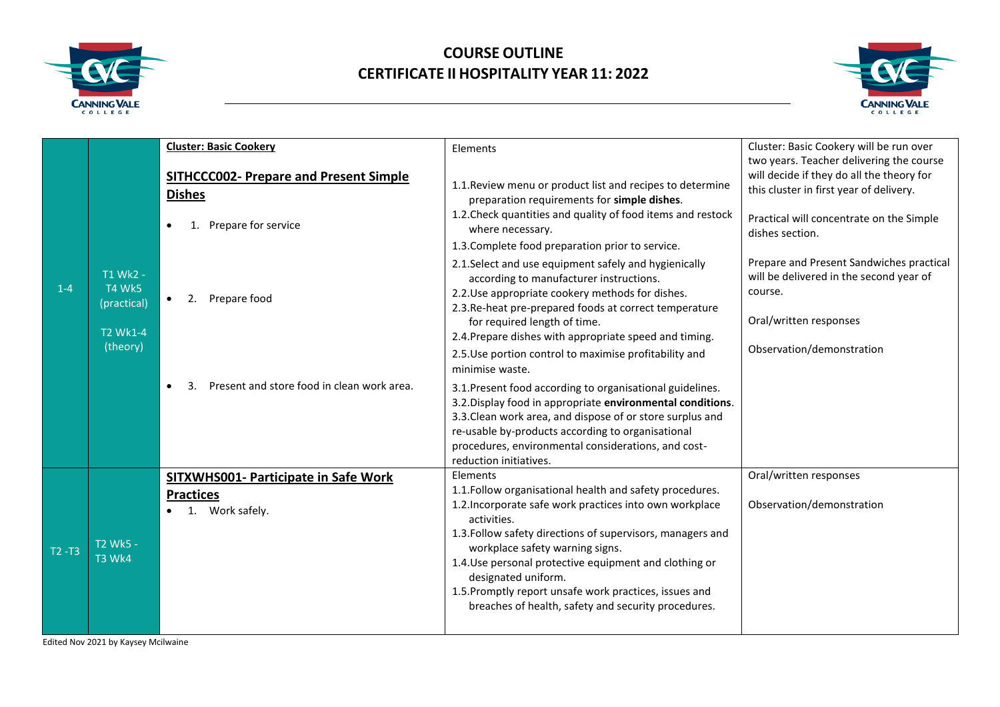



|           |                                          | <b>Cluster: Basic Cookery</b>                                                         | Elements                                                                                                                                                                                                                                                                                                                                                                                                                                          | Cluster: Basic Cookery will be run over<br>two years. Teacher delivering the course                                                                 |
|-----------|------------------------------------------|---------------------------------------------------------------------------------------|---------------------------------------------------------------------------------------------------------------------------------------------------------------------------------------------------------------------------------------------------------------------------------------------------------------------------------------------------------------------------------------------------------------------------------------------------|-----------------------------------------------------------------------------------------------------------------------------------------------------|
|           |                                          | <b>SITHCCC002- Prepare and Present Simple</b><br><b>Dishes</b><br>Prepare for service | 1.1. Review menu or product list and recipes to determine<br>preparation requirements for simple dishes.<br>1.2. Check quantities and quality of food items and restock<br>where necessary.                                                                                                                                                                                                                                                       | will decide if they do all the theory for<br>this cluster in first year of delivery.<br>Practical will concentrate on the Simple<br>dishes section. |
|           |                                          |                                                                                       | 1.3. Complete food preparation prior to service.                                                                                                                                                                                                                                                                                                                                                                                                  |                                                                                                                                                     |
| $1 - 4$   | T1 Wk2 -<br><b>T4 Wk5</b><br>(practical) | Prepare food<br>2.                                                                    | 2.1. Select and use equipment safely and hygienically<br>according to manufacturer instructions.<br>2.2. Use appropriate cookery methods for dishes.<br>2.3. Re-heat pre-prepared foods at correct temperature<br>for required length of time.                                                                                                                                                                                                    | Prepare and Present Sandwiches practical<br>will be delivered in the second year of<br>course.<br>Oral/written responses                            |
|           | <b>T2 Wk1-4</b><br>(theory)              |                                                                                       | 2.4. Prepare dishes with appropriate speed and timing.<br>2.5. Use portion control to maximise profitability and<br>minimise waste.                                                                                                                                                                                                                                                                                                               | Observation/demonstration                                                                                                                           |
|           |                                          | Present and store food in clean work area.<br>3.                                      | 3.1. Present food according to organisational guidelines.<br>3.2. Display food in appropriate environmental conditions.<br>3.3. Clean work area, and dispose of or store surplus and<br>re-usable by-products according to organisational<br>procedures, environmental considerations, and cost-<br>reduction initiatives.                                                                                                                        |                                                                                                                                                     |
| $T2 - T3$ | T2 Wk5 -<br><b>T3 Wk4</b>                | SITXWHS001- Participate in Safe Work<br><b>Practices</b><br>Work safely.<br>1.        | Elements<br>1.1. Follow organisational health and safety procedures.<br>1.2. Incorporate safe work practices into own workplace<br>activities.<br>1.3. Follow safety directions of supervisors, managers and<br>workplace safety warning signs.<br>1.4. Use personal protective equipment and clothing or<br>designated uniform.<br>1.5. Promptly report unsafe work practices, issues and<br>breaches of health, safety and security procedures. | Oral/written responses<br>Observation/demonstration                                                                                                 |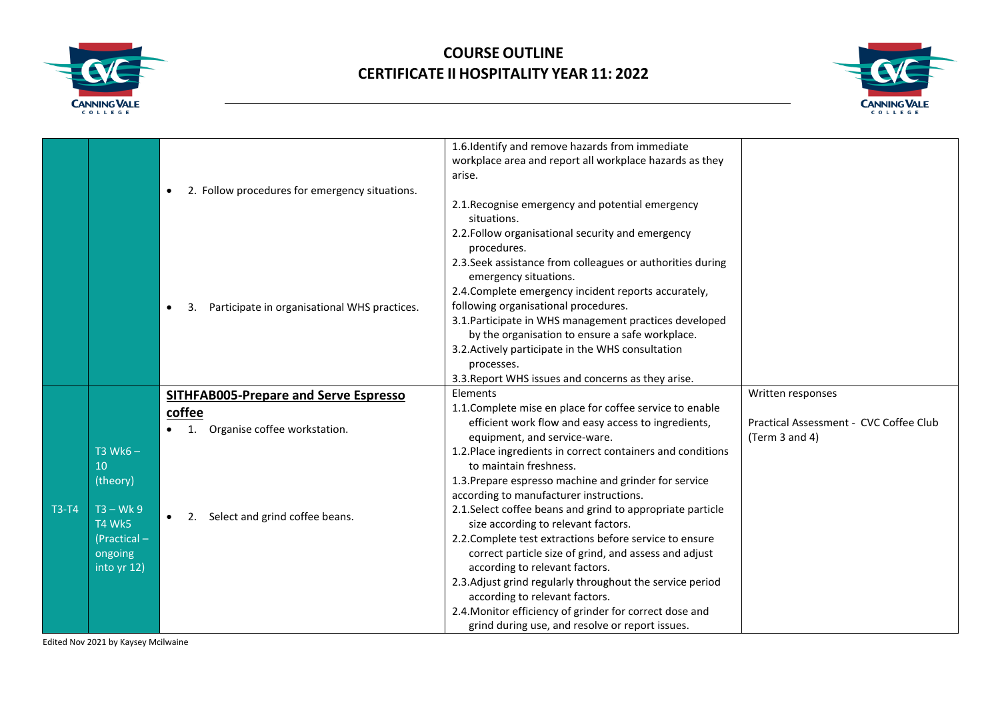



|              |              |                                                             | 1.6. Identify and remove hazards from immediate             |                                        |
|--------------|--------------|-------------------------------------------------------------|-------------------------------------------------------------|----------------------------------------|
|              |              |                                                             | workplace area and report all workplace hazards as they     |                                        |
|              |              |                                                             | arise.                                                      |                                        |
|              |              | 2. Follow procedures for emergency situations.<br>$\bullet$ |                                                             |                                        |
|              |              |                                                             | 2.1. Recognise emergency and potential emergency            |                                        |
|              |              |                                                             | situations.                                                 |                                        |
|              |              |                                                             | 2.2. Follow organisational security and emergency           |                                        |
|              |              |                                                             | procedures.                                                 |                                        |
|              |              |                                                             | 2.3. Seek assistance from colleagues or authorities during  |                                        |
|              |              |                                                             | emergency situations.                                       |                                        |
|              |              |                                                             | 2.4. Complete emergency incident reports accurately,        |                                        |
|              |              | Participate in organisational WHS practices.                | following organisational procedures.                        |                                        |
|              |              |                                                             | 3.1. Participate in WHS management practices developed      |                                        |
|              |              |                                                             | by the organisation to ensure a safe workplace.             |                                        |
|              |              |                                                             | 3.2. Actively participate in the WHS consultation           |                                        |
|              |              |                                                             | processes.                                                  |                                        |
|              |              |                                                             | 3.3. Report WHS issues and concerns as they arise.          |                                        |
|              |              | <b>SITHFAB005-Prepare and Serve Espresso</b>                | Elements                                                    | Written responses                      |
|              |              | coffee                                                      | 1.1. Complete mise en place for coffee service to enable    |                                        |
|              |              | Organise coffee workstation.                                | efficient work flow and easy access to ingredients,         | Practical Assessment - CVC Coffee Club |
|              |              |                                                             | equipment, and service-ware.                                | (Term 3 and 4)                         |
|              | $T3$ Wk6 $-$ |                                                             | 1.2. Place ingredients in correct containers and conditions |                                        |
|              | 10           |                                                             | to maintain freshness.                                      |                                        |
|              | (theory)     |                                                             | 1.3. Prepare espresso machine and grinder for service       |                                        |
|              |              |                                                             | according to manufacturer instructions.                     |                                        |
| <b>T3-T4</b> | $T3 - Wk9$   | 2. Select and grind coffee beans.                           | 2.1. Select coffee beans and grind to appropriate particle  |                                        |
|              | T4 Wk5       |                                                             | size according to relevant factors.                         |                                        |
|              | (Practical - |                                                             | 2.2. Complete test extractions before service to ensure     |                                        |
|              | ongoing      |                                                             | correct particle size of grind, and assess and adjust       |                                        |
|              | into yr 12)  |                                                             | according to relevant factors.                              |                                        |
|              |              |                                                             | 2.3. Adjust grind regularly throughout the service period   |                                        |
|              |              |                                                             | according to relevant factors.                              |                                        |
|              |              |                                                             | 2.4. Monitor efficiency of grinder for correct dose and     |                                        |
|              |              |                                                             | grind during use, and resolve or report issues.             |                                        |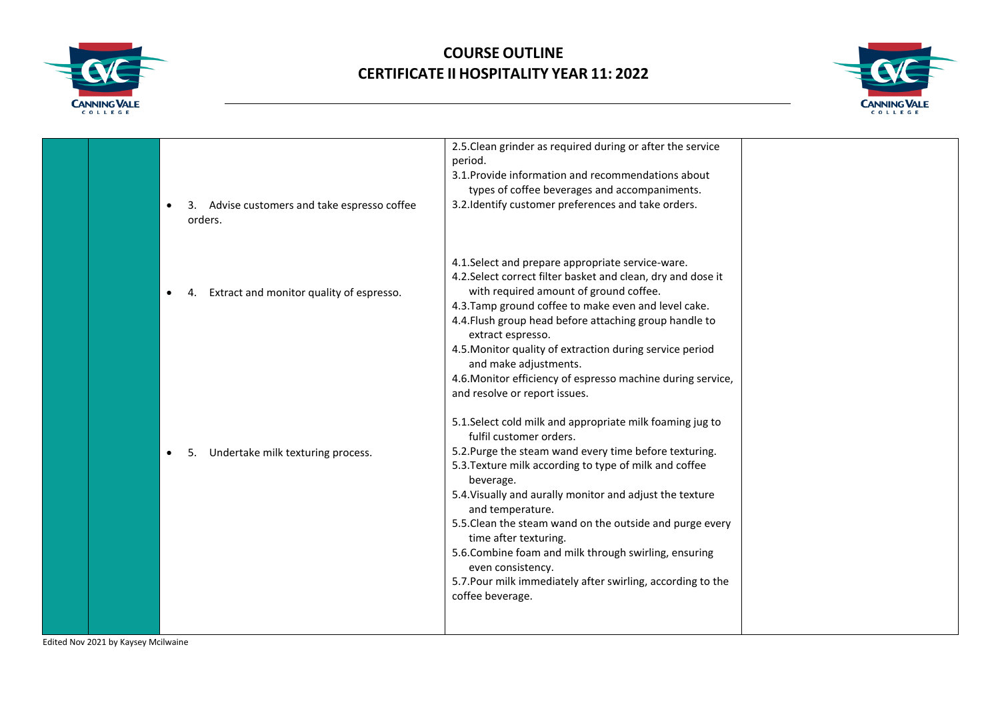



| Advise customers and take espresso coffee<br>orders. | 2.5. Clean grinder as required during or after the service<br>period.<br>3.1. Provide information and recommendations about<br>types of coffee beverages and accompaniments.<br>3.2. Identify customer preferences and take orders.                                                                                                                                                                                                                                                                                                                         |  |
|------------------------------------------------------|-------------------------------------------------------------------------------------------------------------------------------------------------------------------------------------------------------------------------------------------------------------------------------------------------------------------------------------------------------------------------------------------------------------------------------------------------------------------------------------------------------------------------------------------------------------|--|
| Extract and monitor quality of espresso.             | 4.1. Select and prepare appropriate service-ware.<br>4.2. Select correct filter basket and clean, dry and dose it<br>with required amount of ground coffee.<br>4.3. Tamp ground coffee to make even and level cake.<br>4.4. Flush group head before attaching group handle to<br>extract espresso.<br>4.5. Monitor quality of extraction during service period<br>and make adjustments.<br>4.6. Monitor efficiency of espresso machine during service,<br>and resolve or report issues.                                                                     |  |
| Undertake milk texturing process.                    | 5.1. Select cold milk and appropriate milk foaming jug to<br>fulfil customer orders.<br>5.2. Purge the steam wand every time before texturing.<br>5.3. Texture milk according to type of milk and coffee<br>beverage.<br>5.4. Visually and aurally monitor and adjust the texture<br>and temperature.<br>5.5. Clean the steam wand on the outside and purge every<br>time after texturing.<br>5.6. Combine foam and milk through swirling, ensuring<br>even consistency.<br>5.7. Pour milk immediately after swirling, according to the<br>coffee beverage. |  |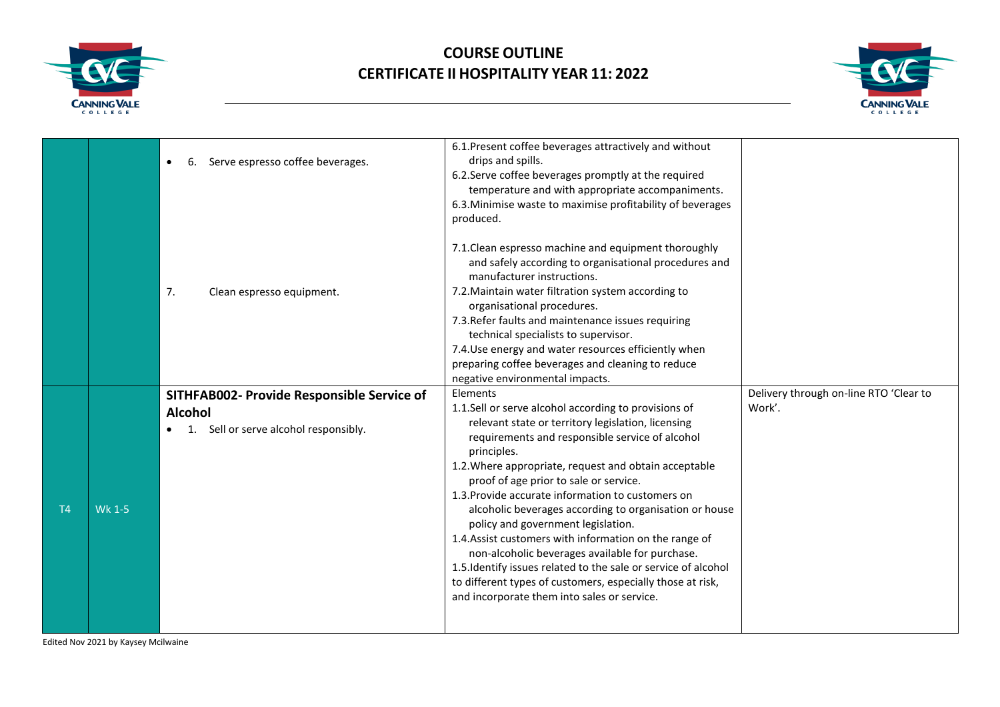



|                |        |                                            | 6.1. Present coffee beverages attractively and without         |                                        |
|----------------|--------|--------------------------------------------|----------------------------------------------------------------|----------------------------------------|
|                |        | Serve espresso coffee beverages.<br>6.     | drips and spills.                                              |                                        |
|                |        |                                            | 6.2. Serve coffee beverages promptly at the required           |                                        |
|                |        |                                            | temperature and with appropriate accompaniments.               |                                        |
|                |        |                                            | 6.3. Minimise waste to maximise profitability of beverages     |                                        |
|                |        |                                            | produced.                                                      |                                        |
|                |        |                                            | 7.1. Clean espresso machine and equipment thoroughly           |                                        |
|                |        |                                            | and safely according to organisational procedures and          |                                        |
|                |        |                                            | manufacturer instructions.                                     |                                        |
|                |        | 7.<br>Clean espresso equipment.            | 7.2. Maintain water filtration system according to             |                                        |
|                |        |                                            | organisational procedures.                                     |                                        |
|                |        |                                            | 7.3. Refer faults and maintenance issues requiring             |                                        |
|                |        |                                            | technical specialists to supervisor.                           |                                        |
|                |        |                                            | 7.4. Use energy and water resources efficiently when           |                                        |
|                |        |                                            | preparing coffee beverages and cleaning to reduce              |                                        |
|                |        |                                            | negative environmental impacts.                                |                                        |
|                |        |                                            |                                                                |                                        |
|                |        | SITHFAB002- Provide Responsible Service of | Elements                                                       | Delivery through on-line RTO 'Clear to |
|                |        |                                            | 1.1.Sell or serve alcohol according to provisions of           | Work'.                                 |
|                |        | <b>Alcohol</b>                             | relevant state or territory legislation, licensing             |                                        |
|                |        | Sell or serve alcohol responsibly.         | requirements and responsible service of alcohol                |                                        |
|                |        |                                            | principles.                                                    |                                        |
|                |        |                                            | 1.2. Where appropriate, request and obtain acceptable          |                                        |
|                |        |                                            | proof of age prior to sale or service.                         |                                        |
|                |        |                                            | 1.3. Provide accurate information to customers on              |                                        |
| T <sub>4</sub> | Wk 1-5 |                                            | alcoholic beverages according to organisation or house         |                                        |
|                |        |                                            | policy and government legislation.                             |                                        |
|                |        |                                            | 1.4. Assist customers with information on the range of         |                                        |
|                |        |                                            | non-alcoholic beverages available for purchase.                |                                        |
|                |        |                                            | 1.5. Identify issues related to the sale or service of alcohol |                                        |
|                |        |                                            | to different types of customers, especially those at risk,     |                                        |
|                |        |                                            | and incorporate them into sales or service.                    |                                        |
|                |        |                                            |                                                                |                                        |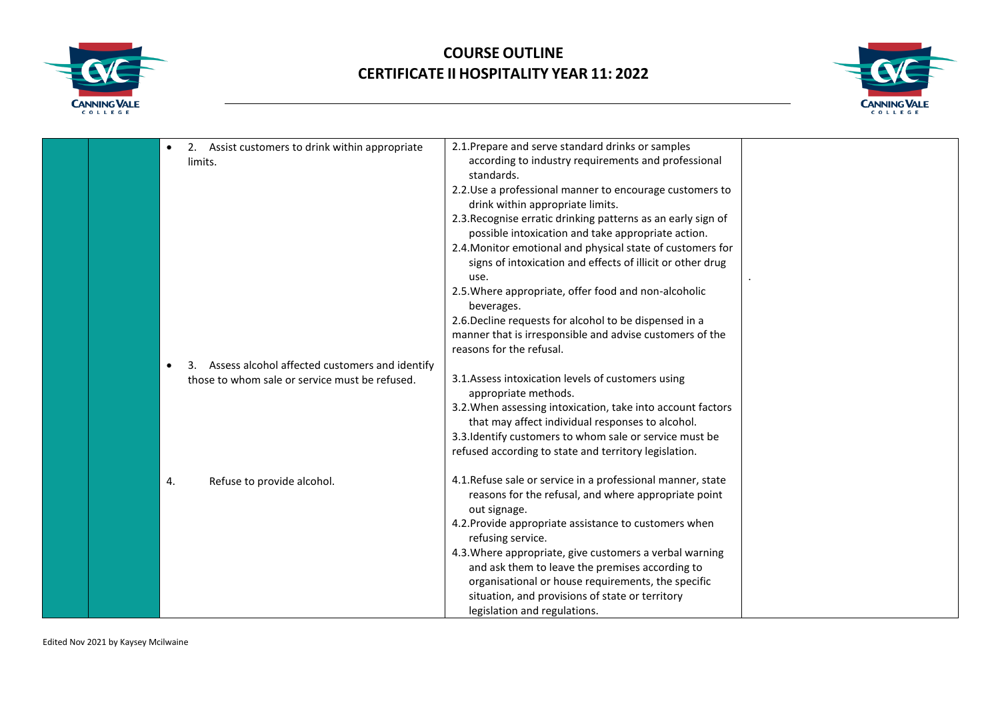



| 2. Assist customers to drink within appropriate | 2.1. Prepare and serve standard drinks or samples            |  |
|-------------------------------------------------|--------------------------------------------------------------|--|
| limits.                                         | according to industry requirements and professional          |  |
|                                                 | standards.                                                   |  |
|                                                 | 2.2. Use a professional manner to encourage customers to     |  |
|                                                 | drink within appropriate limits.                             |  |
|                                                 | 2.3. Recognise erratic drinking patterns as an early sign of |  |
|                                                 | possible intoxication and take appropriate action.           |  |
|                                                 | 2.4. Monitor emotional and physical state of customers for   |  |
|                                                 | signs of intoxication and effects of illicit or other drug   |  |
|                                                 | use.                                                         |  |
|                                                 | 2.5. Where appropriate, offer food and non-alcoholic         |  |
|                                                 | beverages.                                                   |  |
|                                                 | 2.6. Decline requests for alcohol to be dispensed in a       |  |
|                                                 | manner that is irresponsible and advise customers of the     |  |
|                                                 | reasons for the refusal.                                     |  |
| Assess alcohol affected customers and identify  |                                                              |  |
| those to whom sale or service must be refused.  | 3.1. Assess intoxication levels of customers using           |  |
|                                                 | appropriate methods.                                         |  |
|                                                 | 3.2. When assessing intoxication, take into account factors  |  |
|                                                 | that may affect individual responses to alcohol.             |  |
|                                                 | 3.3. Identify customers to whom sale or service must be      |  |
|                                                 | refused according to state and territory legislation.        |  |
| Refuse to provide alcohol.<br>4.                | 4.1. Refuse sale or service in a professional manner, state  |  |
|                                                 | reasons for the refusal, and where appropriate point         |  |
|                                                 | out signage.                                                 |  |
|                                                 | 4.2. Provide appropriate assistance to customers when        |  |
|                                                 | refusing service.                                            |  |
|                                                 | 4.3. Where appropriate, give customers a verbal warning      |  |
|                                                 | and ask them to leave the premises according to              |  |
|                                                 | organisational or house requirements, the specific           |  |
|                                                 | situation, and provisions of state or territory              |  |
|                                                 | legislation and regulations.                                 |  |